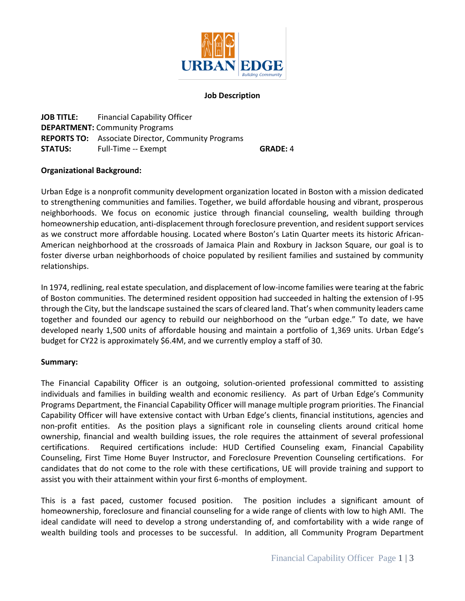

### **Job Description**

**JOB TITLE:** Financial Capability Officer **DEPARTMENT:** Community Programs **REPORTS TO:** Associate Director, Community Programs **STATUS:** Full-Time -- Exempt **GRADE: 4** 

### **Organizational Background:**

Urban Edge is a nonprofit community development organization located in Boston with a mission dedicated to strengthening communities and families. Together, we build affordable housing and vibrant, prosperous neighborhoods. We focus on economic justice through financial counseling, wealth building through homeownership education, anti-displacement through foreclosure prevention, and resident support services as we construct more affordable housing. Located where Boston's Latin Quarter meets its historic African-American neighborhood at the crossroads of Jamaica Plain and Roxbury in Jackson Square, our goal is to foster diverse urban neighborhoods of choice populated by resilient families and sustained by community relationships.

In 1974, redlining, real estate speculation, and displacement of low-income families were tearing at the fabric of Boston communities. The determined resident opposition had succeeded in halting the extension of I-95 through the City, but the landscape sustained the scars of cleared land. That's when community leaders came together and founded our agency to rebuild our neighborhood on the "urban edge." To date, we have developed nearly 1,500 units of affordable housing and maintain a portfolio of 1,369 units. Urban Edge's budget for CY22 is approximately \$6.4M, and we currently employ a staff of 30.

### **Summary:**

The Financial Capability Officer is an outgoing, solution-oriented professional committed to assisting individuals and families in building wealth and economic resiliency. As part of Urban Edge's Community Programs Department, the Financial Capability Officer will manage multiple program priorities. The Financial Capability Officer will have extensive contact with Urban Edge's clients, financial institutions, agencies and non-profit entities. As the position plays a significant role in counseling clients around critical home ownership, financial and wealth building issues, the role requires the attainment of several professional certifications. Required certifications include: HUD Certified Counseling exam, Financial Capability Counseling, First Time Home Buyer Instructor, and Foreclosure Prevention Counseling certifications. For candidates that do not come to the role with these certifications, UE will provide training and support to assist you with their attainment within your first 6-months of employment.

This is a fast paced, customer focused position. The position includes a significant amount of homeownership, foreclosure and financial counseling for a wide range of clients with low to high AMI. The ideal candidate will need to develop a strong understanding of, and comfortability with a wide range of wealth building tools and processes to be successful. In addition, all Community Program Department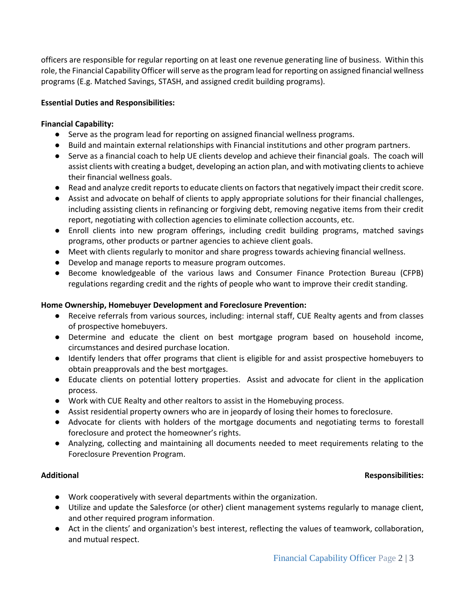officers are responsible for regular reporting on at least one revenue generating line of business. Within this role, the Financial Capability Officer will serve as the program lead for reporting on assigned financial wellness programs (E.g. Matched Savings, STASH, and assigned credit building programs).

# **Essential Duties and Responsibilities:**

### **Financial Capability:**

- Serve as the program lead for reporting on assigned financial wellness programs.
- Build and maintain external relationships with Financial institutions and other program partners.
- Serve as a financial coach to help UE clients develop and achieve their financial goals. The coach will assist clients with creating a budget, developing an action plan, and with motivating clients to achieve their financial wellness goals.
- Read and analyze credit reports to educate clients on factors that negatively impact their credit score.
- Assist and advocate on behalf of clients to apply appropriate solutions for their financial challenges, including assisting clients in refinancing or forgiving debt, removing negative items from their credit report, negotiating with collection agencies to eliminate collection accounts, etc.
- Enroll clients into new program offerings, including credit building programs, matched savings programs, other products or partner agencies to achieve client goals.
- Meet with clients regularly to monitor and share progress towards achieving financial wellness.
- Develop and manage reports to measure program outcomes.
- Become knowledgeable of the various laws and Consumer Finance Protection Bureau (CFPB) regulations regarding credit and the rights of people who want to improve their credit standing.

## **Home Ownership, Homebuyer Development and Foreclosure Prevention:**

- Receive referrals from various sources, including: internal staff, CUE Realty agents and from classes of prospective homebuyers.
- Determine and educate the client on best mortgage program based on household income, circumstances and desired purchase location.
- Identify lenders that offer programs that client is eligible for and assist prospective homebuyers to obtain preapprovals and the best mortgages.
- Educate clients on potential lottery properties. Assist and advocate for client in the application process.
- Work with CUE Realty and other realtors to assist in the Homebuying process.
- Assist residential property owners who are in jeopardy of losing their homes to foreclosure.
- Advocate for clients with holders of the mortgage documents and negotiating terms to forestall foreclosure and protect the homeowner's rights.
- Analyzing, collecting and maintaining all documents needed to meet requirements relating to the Foreclosure Prevention Program.

## **Additional Responsibilities:**

- Work cooperatively with several departments within the organization.
- Utilize and update the Salesforce (or other) client management systems regularly to manage client, and other required program information.
- Act in the clients' and organization's best interest, reflecting the values of teamwork, collaboration, and mutual respect.